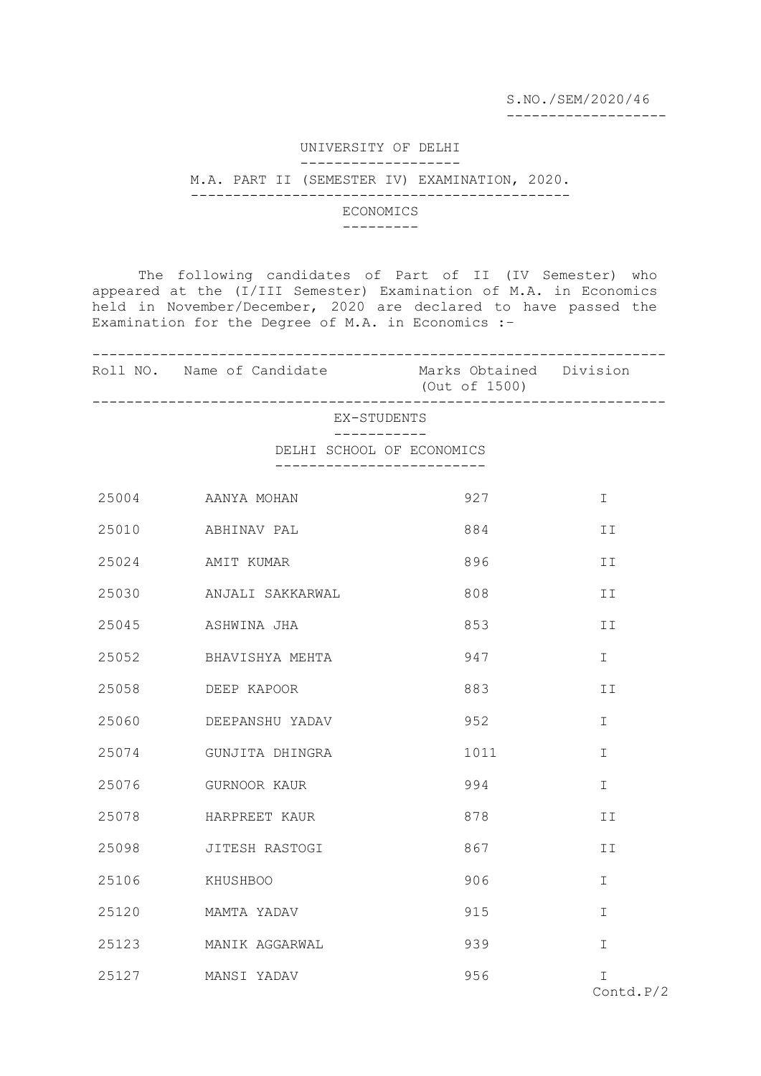S.NO./SEM/2020/46

-------------------

### UNIVERSITY OF DELHI -------------------

### M.A. PART II (SEMESTER IV) EXAMINATION, 2020. ---------------------------------------------

# ECONOMICS

#### ---------

The following candidates of Part of II (IV Semester) who appeared at the (I/III Semester) Examination of M.A. in Economics held in November/December, 2020 are declared to have passed the Examination for the Degree of M.A. in Economics :-

|             | Roll NO. Name of Candidate Marks Obtained Division | (Out of 1500)              |                 |  |  |
|-------------|----------------------------------------------------|----------------------------|-----------------|--|--|
| EX-STUDENTS |                                                    |                            |                 |  |  |
|             | $- - - - - - - - -$<br>DELHI SCHOOL OF ECONOMICS   | -------------------------- |                 |  |  |
|             | 25004 AANYA MOHAN                                  | 927                        | $\mathbf I$     |  |  |
| 25010       | ABHINAV PAL                                        | 884                        | II              |  |  |
| 25024       | AMIT KUMAR                                         | 896                        | II              |  |  |
| 25030       | ANJALI SAKKARWAL                                   | 808                        | II              |  |  |
| 25045       | ASHWINA JHA                                        | 853                        | II              |  |  |
| 25052       | BHAVISHYA MEHTA                                    | 947                        | I.              |  |  |
| 25058       | DEEP KAPOOR                                        | 883                        | ΙI              |  |  |
| 25060       | DEEPANSHU YADAV                                    | 952                        | I.              |  |  |
| 25074       | GUNJITA DHINGRA                                    | 1011                       | I.              |  |  |
| 25076       | GURNOOR KAUR                                       | 994                        | T.              |  |  |
| 25078       | HARPREET KAUR                                      | 878                        | II              |  |  |
| 25098       | JITESH RASTOGI                                     | 867                        | II              |  |  |
| 25106       | KHUSHBOO                                           | 906                        | $\mathbb{I}$    |  |  |
| 25120       | MAMTA YADAV                                        | 915                        | T.              |  |  |
| 25123       | MANIK AGGARWAL                                     | 939                        | T.              |  |  |
|             | 25127 MANSI YADAV                                  | 956                        | T.<br>Contd.P/2 |  |  |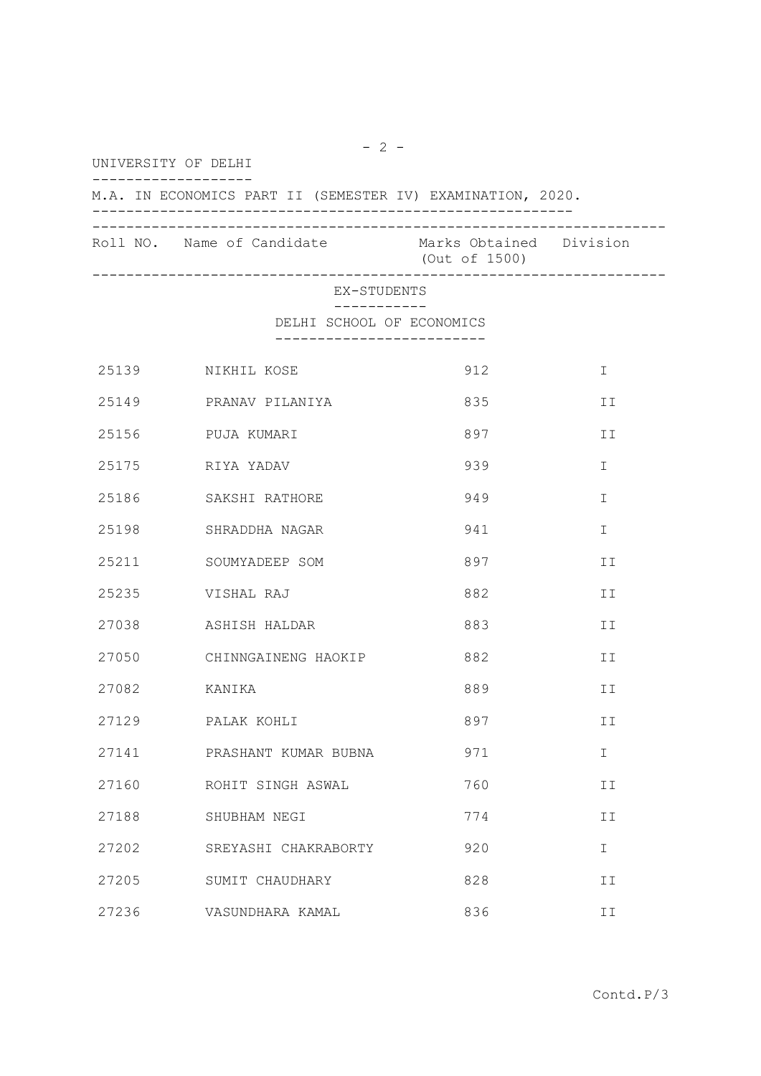UNIVERSITY OF DELHI

------------------- M.A. IN ECONOMICS PART II (SEMESTER IV) EXAMINATION, 2020. --------------------------------------------------------- -------------------------------------------------------------------- Roll NO. Name of Candidate Marks Obtained Division (Out of 1500)

--------------------------------------------------------------------

#### EX-STUDENTS -----------

DELHI SCHOOL OF ECONOMICS

-------------------------

| 25139 | NIKHIL KOSE          | 912 | $\mathbf I$  |
|-------|----------------------|-----|--------------|
| 25149 | PRANAV PILANIYA      | 835 | II           |
| 25156 | PUJA KUMARI          | 897 | II           |
| 25175 | RIYA YADAV           | 939 | $\mathbf I$  |
| 25186 | SAKSHI RATHORE       | 949 | I            |
| 25198 | SHRADDHA NAGAR       | 941 | I            |
| 25211 | SOUMYADEEP SOM       | 897 | II           |
| 25235 | VISHAL RAJ           | 882 | II           |
| 27038 | ASHISH HALDAR        | 883 | II           |
| 27050 | CHINNGAINENG HAOKIP  | 882 | II           |
| 27082 | KANIKA               | 889 | II           |
|       | 27129 PALAK KOHLI    | 897 | II           |
| 27141 | PRASHANT KUMAR BUBNA | 971 | $\mathbf I$  |
| 27160 | ROHIT SINGH ASWAL    | 760 | II           |
| 27188 | SHUBHAM NEGI         | 774 | II           |
| 27202 | SREYASHI CHAKRABORTY | 920 | $\mathbb{I}$ |
| 27205 | SUMIT CHAUDHARY      | 828 | II           |
| 27236 | VASUNDHARA KAMAL     | 836 | II           |